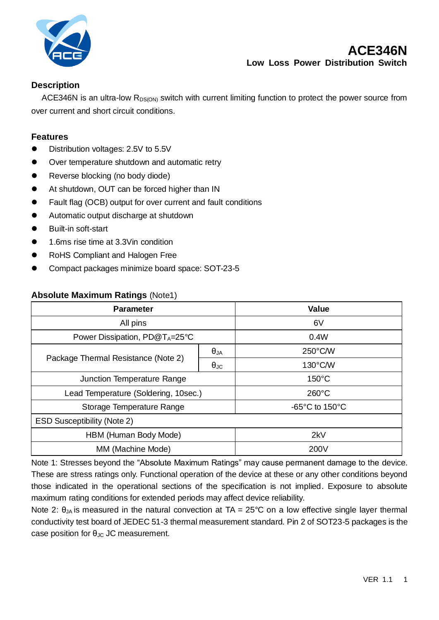

### **Description**

ACE346N is an ultra-low  $R_{DS(ON)}$  switch with current limiting function to protect the power source from over current and short circuit conditions.

#### **Features**

- Distribution voltages: 2.5V to 5.5V
- Over temperature shutdown and automatic retry
- Reverse blocking (no body diode)
- At shutdown, OUT can be forced higher than IN
- Fault flag (OCB) output for over current and fault conditions
- Automatic output discharge at shutdown
- Built-in soft-start
- 1.6ms rise time at 3.3Vin condition
- RoHS Compliant and Halogen Free
- ⚫ Compact packages minimize board space: SOT-23-5

#### **Absolute Maximum Ratings** (Note1)

| <b>Parameter</b>                           |                      | <b>Value</b>                        |
|--------------------------------------------|----------------------|-------------------------------------|
| All pins                                   |                      | 6V                                  |
| Power Dissipation, PD@T <sub>A</sub> =25°C |                      | 0.4W                                |
| Package Thermal Resistance (Note 2)        | $\theta_{JA}$        | 250°C/W                             |
|                                            | $\theta_{\text{JC}}$ | $130^{\circ}$ C/W                   |
| Junction Temperature Range                 |                      | $150^{\circ}$ C                     |
| Lead Temperature (Soldering, 10sec.)       |                      | $260^{\circ}$ C                     |
| Storage Temperature Range                  |                      | $-65^{\circ}$ C to 150 $^{\circ}$ C |
| <b>ESD Susceptibility (Note 2)</b>         |                      |                                     |
| HBM (Human Body Mode)                      |                      | 2kV                                 |
| MM (Machine Mode)                          |                      | 200V                                |

Note 1: Stresses beyond the "Absolute Maximum Ratings" may cause permanent damage to the device. These are stress ratings only. Functional operation of the device at these or any other conditions beyond those indicated in the operational sections of the specification is not implied. Exposure to absolute maximum rating conditions for extended periods may affect device reliability.

Note 2:  $\theta_{JA}$  is measured in the natural convection at TA = 25°C on a low effective single layer thermal conductivity test board of JEDEC 51-3 thermal measurement standard. Pin 2 of SOT23-5 packages is the case position for  $\theta_{JC}$  JC measurement.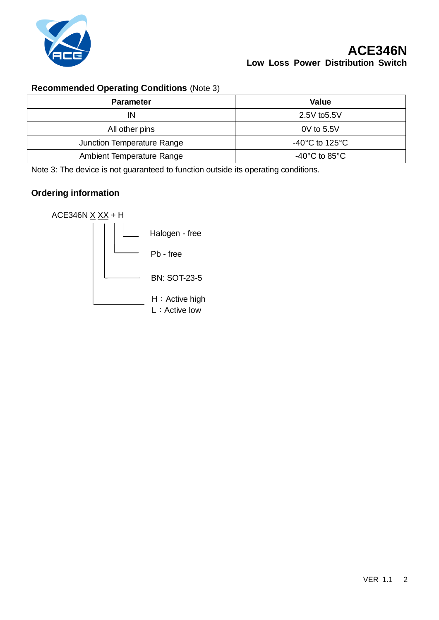

## **Recommended Operating Conditions** (Note 3)

| <b>Parameter</b>           | <b>Value</b>                         |
|----------------------------|--------------------------------------|
| IN                         | 2.5V to 5.5V                         |
| All other pins             | 0V to 5.5V                           |
| Junction Temperature Range | -40 $^{\circ}$ C to 125 $^{\circ}$ C |
| Ambient Temperature Range  | -40 $^{\circ}$ C to 85 $^{\circ}$ C  |

Note 3: The device is not guaranteed to function outside its operating conditions.

### **Ordering information**

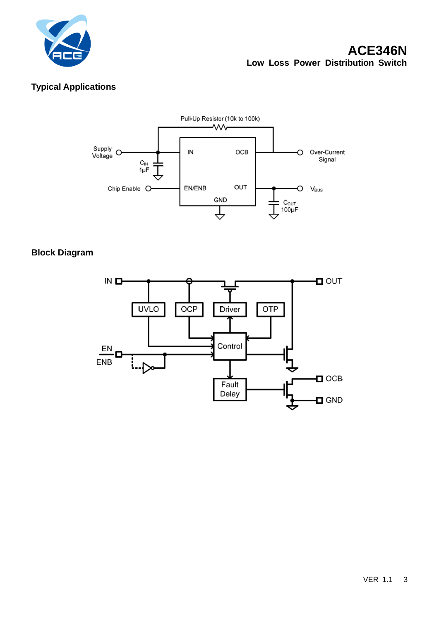

# **ACE346N Low Loss Power Distribution Switch**

## **Typical Applications**



### **Block Diagram**